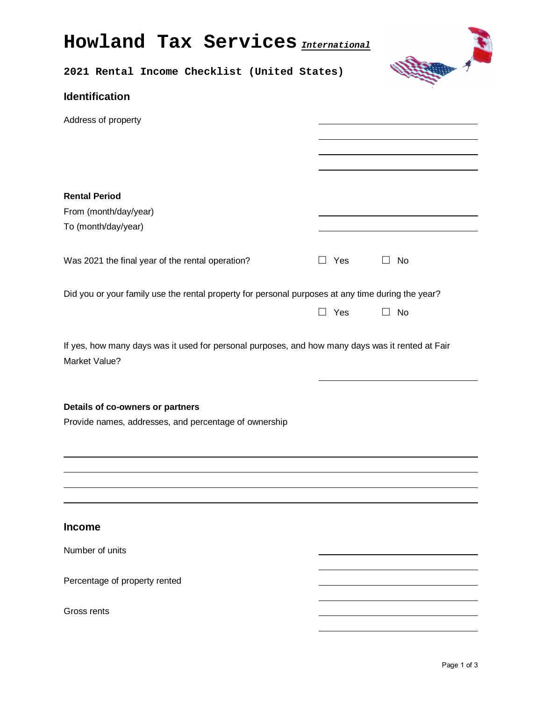| <b>Howland Tax Services</b> <i>International</i>                                                                  |               |           |  |  |
|-------------------------------------------------------------------------------------------------------------------|---------------|-----------|--|--|
| 2021 Rental Income Checklist (United States)                                                                      |               |           |  |  |
| <b>Identification</b>                                                                                             |               |           |  |  |
| Address of property                                                                                               |               |           |  |  |
|                                                                                                                   |               |           |  |  |
|                                                                                                                   |               |           |  |  |
| <b>Rental Period</b>                                                                                              |               |           |  |  |
| From (month/day/year)                                                                                             |               |           |  |  |
| To (month/day/year)                                                                                               |               |           |  |  |
| Was 2021 the final year of the rental operation?                                                                  | $\Box$ Yes    | $\Box$ No |  |  |
| Did you or your family use the rental property for personal purposes at any time during the year?                 |               |           |  |  |
|                                                                                                                   | Yes<br>$\Box$ | $\Box$ No |  |  |
| If yes, how many days was it used for personal purposes, and how many days was it rented at Fair<br>Market Value? |               |           |  |  |
| Details of co-owners or partners<br>Provide names, addresses, and percentage of ownership                         |               |           |  |  |
|                                                                                                                   |               |           |  |  |
|                                                                                                                   |               |           |  |  |
| <b>Income</b>                                                                                                     |               |           |  |  |
| Number of units                                                                                                   |               |           |  |  |
| Percentage of property rented                                                                                     |               |           |  |  |
| Gross rents                                                                                                       |               |           |  |  |
|                                                                                                                   |               |           |  |  |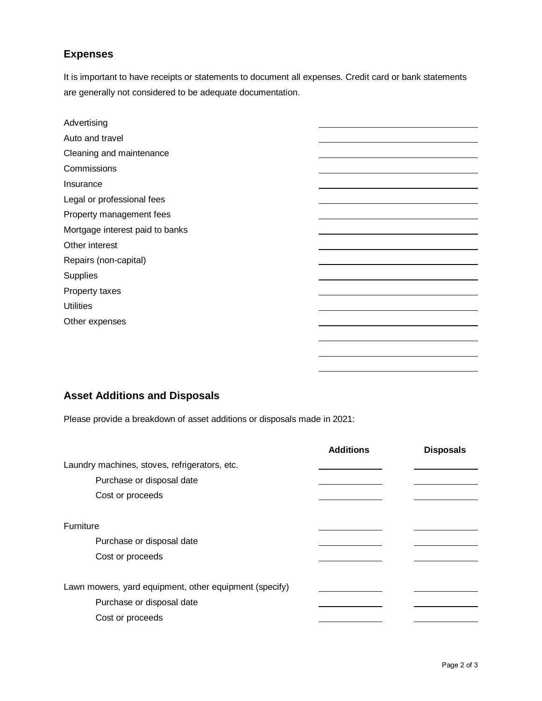## **Expenses**

It is important to have receipts or statements to document all expenses. Credit card or bank statements are generally not considered to be adequate documentation.

| Advertising                     |  |
|---------------------------------|--|
| Auto and travel                 |  |
| Cleaning and maintenance        |  |
| Commissions                     |  |
| Insurance                       |  |
| Legal or professional fees      |  |
| Property management fees        |  |
| Mortgage interest paid to banks |  |
| Other interest                  |  |
| Repairs (non-capital)           |  |
| Supplies                        |  |
| Property taxes                  |  |
| <b>Utilities</b>                |  |
| Other expenses                  |  |
|                                 |  |
|                                 |  |
|                                 |  |

## **Asset Additions and Disposals**

Please provide a breakdown of asset additions or disposals made in 2021:

|                                                        | <b>Additions</b> | <b>Disposals</b> |
|--------------------------------------------------------|------------------|------------------|
| Laundry machines, stoves, refrigerators, etc.          |                  |                  |
| Purchase or disposal date                              |                  |                  |
| Cost or proceeds                                       |                  |                  |
|                                                        |                  |                  |
| <b>Furniture</b>                                       |                  |                  |
| Purchase or disposal date                              |                  |                  |
| Cost or proceeds                                       |                  |                  |
|                                                        |                  |                  |
| Lawn mowers, yard equipment, other equipment (specify) |                  |                  |
| Purchase or disposal date                              |                  |                  |
| Cost or proceeds                                       |                  |                  |